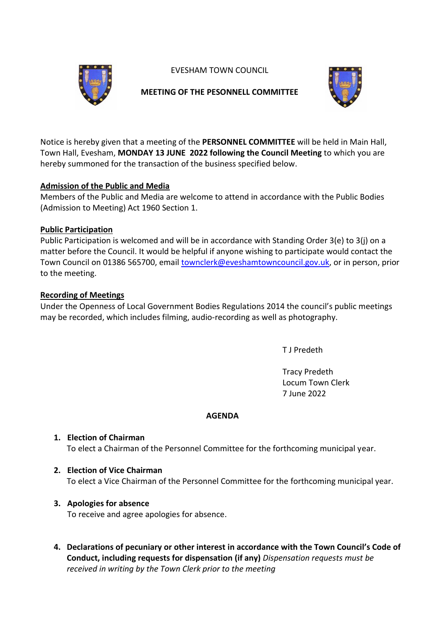EVESHAM TOWN COUNCIL



## **MEETING OF THE PESONNELL COMMITTEE**



Notice is hereby given that a meeting of the **PERSONNEL COMMITTEE** will be held in Main Hall, Town Hall, Evesham, **MONDAY 13 JUNE 2022 following the Council Meeting** to which you are hereby summoned for the transaction of the business specified below.

## **Admission of the Public and Media**

Members of the Public and Media are welcome to attend in accordance with the Public Bodies (Admission to Meeting) Act 1960 Section 1.

### **Public Participation**

Public Participation is welcomed and will be in accordance with Standing Order 3(e) to 3(j) on a matter before the Council. It would be helpful if anyone wishing to participate would contact the Town Council on 01386 565700, email [townclerk@eveshamtowncouncil.gov.uk,](mailto:townclerk@eveshamtowncouncil.gov.uk) or in person, prior to the meeting.

## **Recording of Meetings**

Under the Openness of Local Government Bodies Regulations 2014 the council's public meetings may be recorded, which includes filming, audio-recording as well as photography.

T J Predeth

Tracy Predeth Locum Town Clerk 7 June 2022

### **AGENDA**

# **1. Election of Chairman**

To elect a Chairman of the Personnel Committee for the forthcoming municipal year.

# **2. Election of Vice Chairman**

To elect a Vice Chairman of the Personnel Committee for the forthcoming municipal year.

# **3. Apologies for absence**

To receive and agree apologies for absence.

**4. Declarations of pecuniary or other interest in accordance with the Town Council's Code of Conduct, including requests for dispensation (if any)** *Dispensation requests must be received in writing by the Town Clerk prior to the meeting*